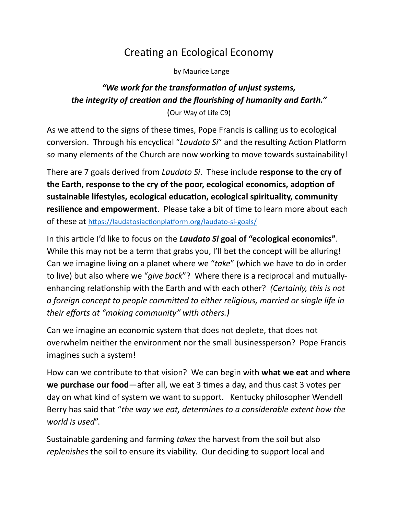## Creating an Ecological Economy

by Maurice Lange

## *"We work for the transformation of unjust systems, the integrity of creation and the flourishing of humanity and Earth."*

(Our Way of Life C9)

As we attend to the signs of these times, Pope Francis is calling us to ecological conversion. Through his encyclical "*Laudato Si*" and the resulting Action Platform *so* many elements of the Church are now working to move towards sustainability!

There are 7 goals derived from *Laudato Si*. These include **response to the cry of the Earth, response to the cry of the poor, ecological economics, adoption of sustainable lifestyles, ecological education, ecological spirituality, community resilience and empowerment**. Please take a bit of time to learn more about each of these at <https://laudatosiactionplatform.org/laudato-si-goals/>

In this article I'd like to focus on the *Laudato Si* **goal of "ecological economics"**. While this may not be a term that grabs you, I'll bet the concept will be alluring! Can we imagine living on a planet where we "*take*" (which we have to do in order to live) but also where we "*give back*"? Where there is a reciprocal and mutuallyenhancing relationship with the Earth and with each other? *(Certainly, this is not a foreign concept to people committed to either religious, married or single life in their efforts at "making community" with others.)*

Can we imagine an economic system that does not deplete, that does not overwhelm neither the environment nor the small businessperson? Pope Francis imagines such a system!

How can we contribute to that vision? We can begin with **what we eat** and **where we purchase our food**—after all, we eat 3 times a day, and thus cast 3 votes per day on what kind of system we want to support. Kentucky philosopher Wendell Berry has said that "*the way we eat, determines to a considerable extent how the world is used*".

Sustainable gardening and farming *takes* the harvest from the soil but also *replenishes* the soil to ensure its viability. Our deciding to support local and